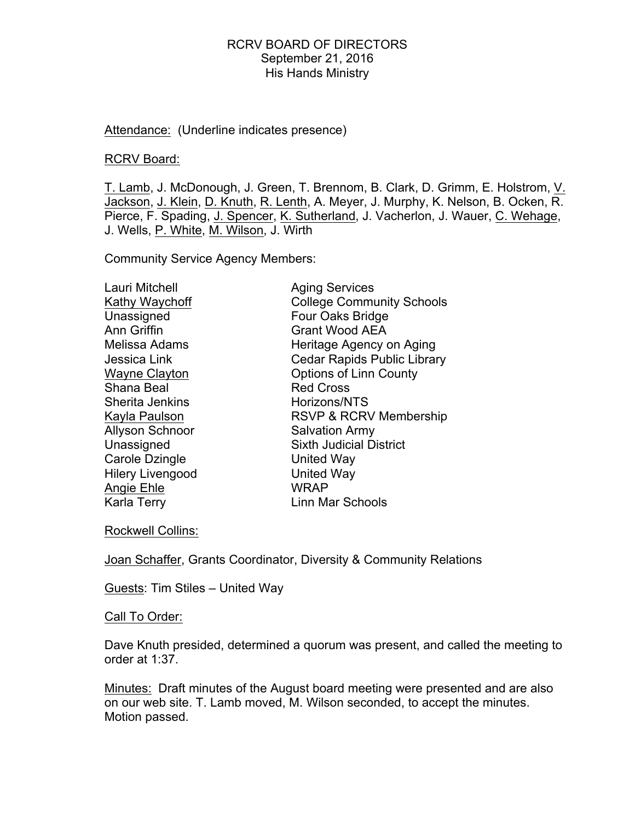Attendance: (Underline indicates presence)

#### RCRV Board:

T. Lamb, J. McDonough, J. Green, T. Brennom, B. Clark, D. Grimm, E. Holstrom, V. Jackson, J. Klein, D. Knuth, R. Lenth, A. Meyer, J. Murphy, K. Nelson, B. Ocken, R. Pierce, F. Spading, J. Spencer, K. Sutherland, J. Vacherlon, J. Wauer, C. Wehage, J. Wells, P. White, M. Wilson, J. Wirth

Community Service Agency Members:

| Lauri Mitchell          | <b>Aging Services</b>              |
|-------------------------|------------------------------------|
| Kathy Waychoff          | <b>College Community Schools</b>   |
| Unassigned              | Four Oaks Bridge                   |
| Ann Griffin             | <b>Grant Wood AEA</b>              |
| Melissa Adams           | Heritage Agency on Aging           |
| Jessica Link            | <b>Cedar Rapids Public Library</b> |
| <b>Wayne Clayton</b>    | <b>Options of Linn County</b>      |
| Shana Beal              | <b>Red Cross</b>                   |
| Sherita Jenkins         | Horizons/NTS                       |
| Kayla Paulson           | <b>RSVP &amp; RCRV Membership</b>  |
| <b>Allyson Schnoor</b>  | <b>Salvation Army</b>              |
| Unassigned              | <b>Sixth Judicial District</b>     |
| Carole Dzingle          | United Way                         |
| <b>Hilery Livengood</b> | <b>United Way</b>                  |
| Angie Ehle              | <b>WRAP</b>                        |
| <b>Karla Terry</b>      | <b>Linn Mar Schools</b>            |
|                         |                                    |

Rockwell Collins:

Joan Schaffer, Grants Coordinator, Diversity & Community Relations

Guests: Tim Stiles – United Way

#### Call To Order:

Dave Knuth presided, determined a quorum was present, and called the meeting to order at 1:37.

Minutes: Draft minutes of the August board meeting were presented and are also on our web site. T. Lamb moved, M. Wilson seconded, to accept the minutes. Motion passed.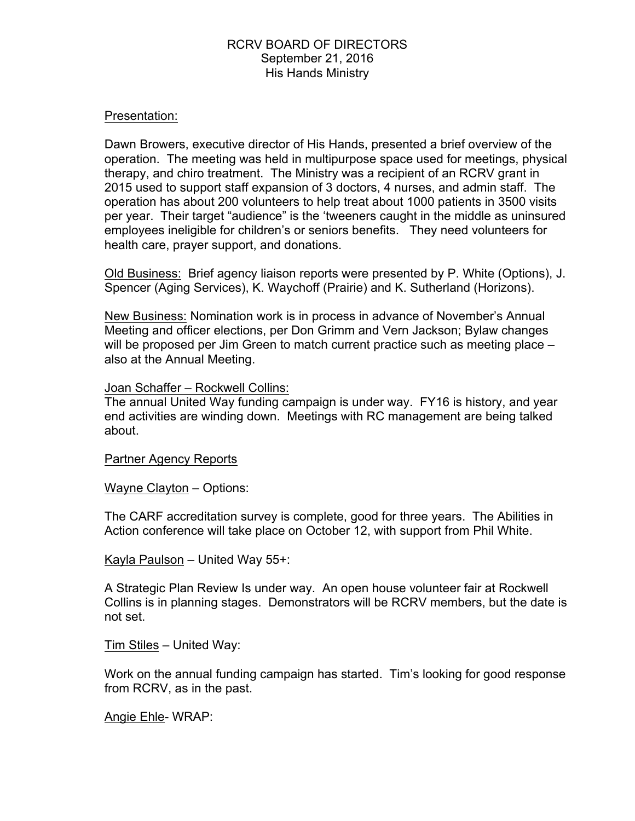#### Presentation:

Dawn Browers, executive director of His Hands, presented a brief overview of the operation. The meeting was held in multipurpose space used for meetings, physical therapy, and chiro treatment. The Ministry was a recipient of an RCRV grant in 2015 used to support staff expansion of 3 doctors, 4 nurses, and admin staff. The operation has about 200 volunteers to help treat about 1000 patients in 3500 visits per year. Their target "audience" is the 'tweeners caught in the middle as uninsured employees ineligible for children's or seniors benefits. They need volunteers for health care, prayer support, and donations.

Old Business: Brief agency liaison reports were presented by P. White (Options), J. Spencer (Aging Services), K. Waychoff (Prairie) and K. Sutherland (Horizons).

New Business: Nomination work is in process in advance of November's Annual Meeting and officer elections, per Don Grimm and Vern Jackson; Bylaw changes will be proposed per Jim Green to match current practice such as meeting place – also at the Annual Meeting.

#### Joan Schaffer – Rockwell Collins:

The annual United Way funding campaign is under way. FY16 is history, and year end activities are winding down. Meetings with RC management are being talked about.

#### Partner Agency Reports

Wayne Clayton – Options:

The CARF accreditation survey is complete, good for three years. The Abilities in Action conference will take place on October 12, with support from Phil White.

Kayla Paulson – United Way 55+:

A Strategic Plan Review Is under way. An open house volunteer fair at Rockwell Collins is in planning stages. Demonstrators will be RCRV members, but the date is not set.

Tim Stiles – United Way:

Work on the annual funding campaign has started. Tim's looking for good response from RCRV, as in the past.

Angie Ehle- WRAP: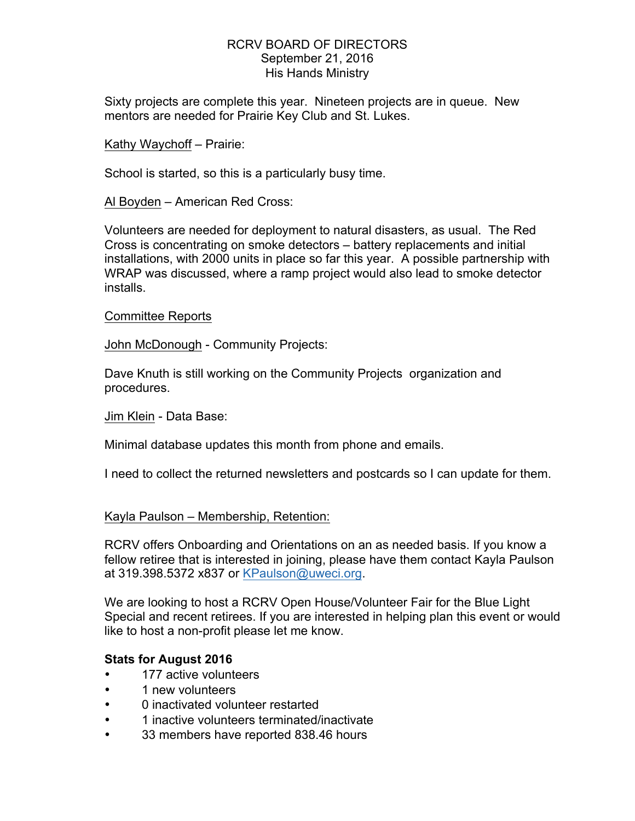Sixty projects are complete this year. Nineteen projects are in queue. New mentors are needed for Prairie Key Club and St. Lukes.

Kathy Waychoff – Prairie:

School is started, so this is a particularly busy time.

Al Boyden – American Red Cross:

Volunteers are needed for deployment to natural disasters, as usual. The Red Cross is concentrating on smoke detectors – battery replacements and initial installations, with 2000 units in place so far this year. A possible partnership with WRAP was discussed, where a ramp project would also lead to smoke detector installs.

Committee Reports

John McDonough - Community Projects:

Dave Knuth is still working on the Community Projects organization and procedures.

Jim Klein - Data Base:

Minimal database updates this month from phone and emails.

I need to collect the returned newsletters and postcards so I can update for them.

#### Kayla Paulson – Membership, Retention:

RCRV offers Onboarding and Orientations on an as needed basis. If you know a fellow retiree that is interested in joining, please have them contact Kayla Paulson at 319.398.5372 x837 or KPaulson@uweci.org.

We are looking to host a RCRV Open House/Volunteer Fair for the Blue Light Special and recent retirees. If you are interested in helping plan this event or would like to host a non-profit please let me know.

## **Stats for August 2016**

- 177 active volunteers
- 1 new volunteers
- 0 inactivated volunteer restarted
- 1 inactive volunteers terminated/inactivate
- 33 members have reported 838.46 hours